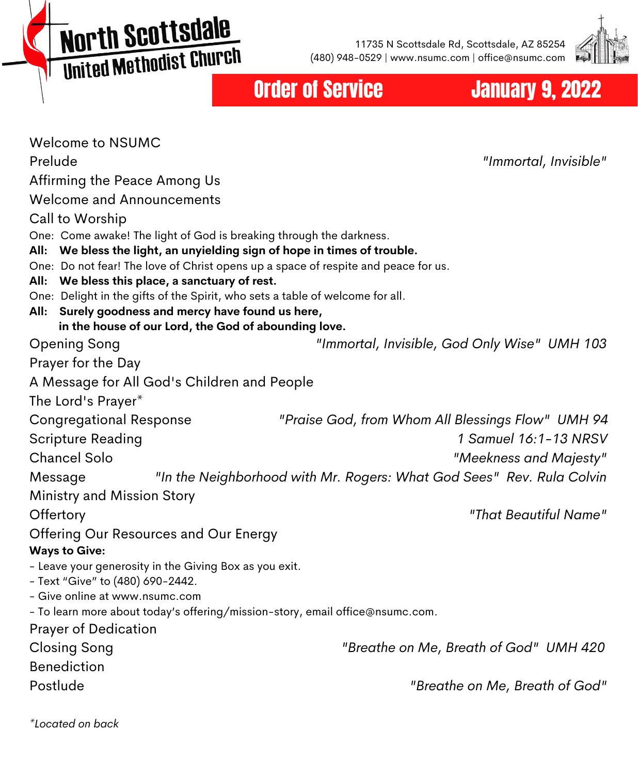**North Scottsdale MOI'LII SGO LEGARICH** 

11735 N Scottsdale Rd, Scottsdale, AZ 85254 (480) 948-0529 | www.nsumc.com | office@nsumc.com



## **Order of Service Manuary 9, 2022**

| <b>Welcome to NSUMC</b>                                                                                                            |                                                                       |
|------------------------------------------------------------------------------------------------------------------------------------|-----------------------------------------------------------------------|
| Prelude                                                                                                                            | "Immortal, Invisible"                                                 |
| Affirming the Peace Among Us                                                                                                       |                                                                       |
| <b>Welcome and Announcements</b>                                                                                                   |                                                                       |
| Call to Worship                                                                                                                    |                                                                       |
| One: Come awake! The light of God is breaking through the darkness.                                                                |                                                                       |
| We bless the light, an unyielding sign of hope in times of trouble.<br>All:                                                        |                                                                       |
| One: Do not fear! The love of Christ opens up a space of respite and peace for us.                                                 |                                                                       |
| We bless this place, a sanctuary of rest.<br>All:<br>One: Delight in the gifts of the Spirit, who sets a table of welcome for all. |                                                                       |
| Surely goodness and mercy have found us here,<br>All:                                                                              |                                                                       |
| in the house of our Lord, the God of abounding love.                                                                               |                                                                       |
| Opening Song                                                                                                                       | "Immortal, Invisible, God Only Wise" UMH 103                          |
| Prayer for the Day                                                                                                                 |                                                                       |
| A Message for All God's Children and People                                                                                        |                                                                       |
| The Lord's Prayer*                                                                                                                 |                                                                       |
| <b>Congregational Response</b>                                                                                                     | "Praise God, from Whom All Blessings Flow" UMH 94                     |
| <b>Scripture Reading</b>                                                                                                           | 1 Samuel 16:1-13 NRSV                                                 |
| <b>Chancel Solo</b>                                                                                                                | "Meekness and Majesty"                                                |
| Message                                                                                                                            | "In the Neighborhood with Mr. Rogers: What God Sees" Rev. Rula Colvin |
| Ministry and Mission Story                                                                                                         |                                                                       |
| Offertory                                                                                                                          | "That Beautiful Name"                                                 |
| Offering Our Resources and Our Energy                                                                                              |                                                                       |
| <b>Ways to Give:</b>                                                                                                               |                                                                       |
| - Leave your generosity in the Giving Box as you exit.                                                                             |                                                                       |
| - Text "Give" to (480) 690-2442.                                                                                                   |                                                                       |
| - Give online at www.nsumc.com<br>- To learn more about today's offering/mission-story, email office@nsumc.com.                    |                                                                       |
| <b>Prayer of Dedication</b>                                                                                                        |                                                                       |
| <b>Closing Song</b>                                                                                                                | "Breathe on Me, Breath of God" UMH 420                                |
| <b>Benediction</b>                                                                                                                 |                                                                       |
| Postlude                                                                                                                           | "Breathe on Me, Breath of God"                                        |
|                                                                                                                                    |                                                                       |
|                                                                                                                                    |                                                                       |

*\*Located on back*